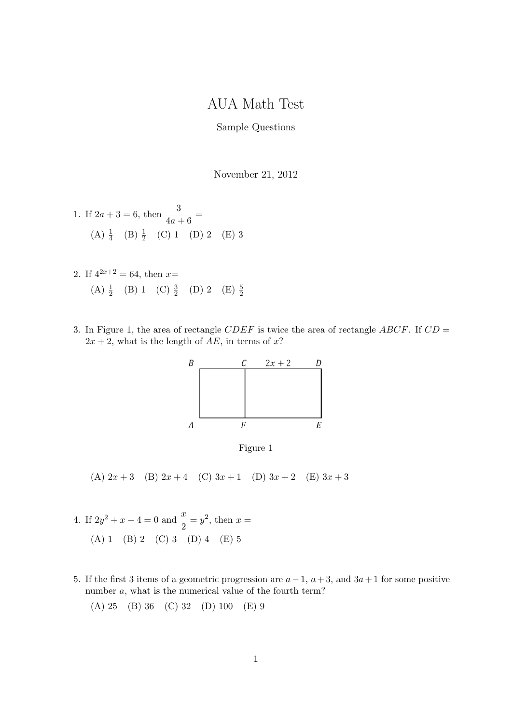## AUA Math Test

## Sample Questions

November 21, 2012

1. If 
$$
2a + 3 = 6
$$
, then  $\frac{3}{4a + 6} =$   
(A)  $\frac{1}{4}$  (B)  $\frac{1}{2}$  (C) 1 (D) 2 (E) 3

- 2. If  $4^{2x+2} = 64$ , then  $x=$ (A)  $\frac{1}{2}$  (B) 1 (C)  $\frac{3}{2}$  (D) 2 (E)  $\frac{5}{2}$
- 3. In Figure 1, the area of rectangle  $CDEF$  is twice the area of rectangle  $ABCF$ . If  $CD =$  $2x + 2$ , what is the length of AE, in terms of x?





(A)  $2x + 3$  (B)  $2x + 4$  (C)  $3x + 1$  (D)  $3x + 2$  (E)  $3x + 3$ 

- 4. If  $2y^2 + x 4 = 0$  and  $\frac{x}{2} = y^2$ , then  $x =$ (A) 1 (B) 2 (C) 3 (D) 4 (E) 5
- 5. If the first 3 items of a geometric progression are  $a-1$ ,  $a+3$ , and  $3a+1$  for some positive number a, what is the numerical value of the fourth term?
	- (A) 25 (B) 36 (C) 32 (D) 100 (E) 9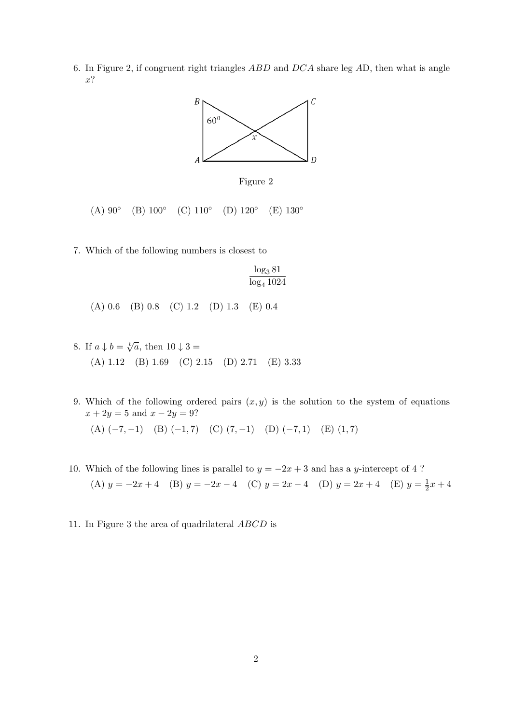6. In Figure 2, if congruent right triangles ABD and DCA share leg AD, then what is angle  $x$ ?



Figure 2

 $(A) 90^\circ$  $(B) 100^\circ$  $(C)$  110 $^{\circ}$  $(D) 120^\circ$  $(E)$  130 $^{\circ}$ 

7. Which of the following numbers is closest to

$$
\frac{\log_3 81}{\log_4 1024}
$$

(A) 0.6 (B) 0.8 (C) 1.2 (D) 1.3 (E) 0.4

- 8. If  $a \downarrow b = \sqrt[b]{a}$ , then  $10 \downarrow 3 =$ (A) 1.12 (B) 1.69 (C) 2.15 (D) 2.71 (E) 3.33
- 9. Which of the following ordered pairs  $(x, y)$  is the solution to the system of equations  $x + 2y = 5$  and  $x - 2y = 9$ ? (A)  $(-7, -1)$  (B)  $(-1, 7)$  (C)  $(7, -1)$  (D)  $(-7, 1)$  (E)  $(1, 7)$
- 10. Which of the following lines is parallel to  $y = -2x + 3$  and has a y-intercept of 4 ? (A)  $y = -2x + 4$  (B)  $y = -2x - 4$  (C)  $y = 2x - 4$  (D)  $y = 2x + 4$  (E)  $y = \frac{1}{2}$  $rac{1}{2}x + 4$
- 11. In Figure 3 the area of quadrilateral ABCD is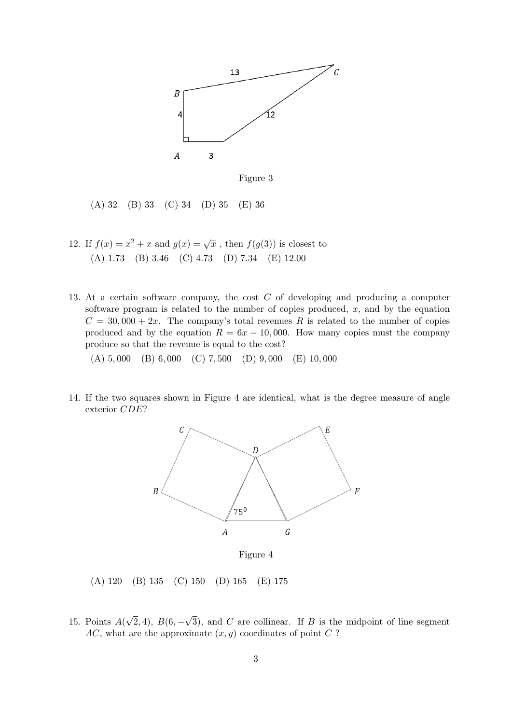



(A) 32 (B) 33 (C) 34 (D) 35 (E) 36

- 12. If  $f(x) = x^2 + x$  and  $g(x) = \sqrt{x}$ , then  $f(g(3))$  is closest to (A) 1.73 (B) 3.46 (C) 4.73 (D) 7.34 (E) 12.00
- 13. At a certain software company, the cost C of developing and producing a computer software program is related to the number of copies produced,  $x$ , and by the equation  $C = 30,000 + 2x$ . The company's total revenues R is related to the number of copies produced and by the equation  $R = 6x - 10,000$ . How many copies must the company produce so that the revenue is equal to the cost?

(A) 5, 000 (B) 6, 000 (C) 7, 500 (D) 9, 000 (E) 10, 000

14. If the two squares shown in Figure 4 are identical, what is the degree measure of angle exterior CDE?



(A) 120 (B) 135 (C) 150 (D) 165 (E) 175

15. Points  $A($ √  $(2, 4), B(6, -)$ √ 3), and  $C$  are collinear. If  $B$  is the midpoint of line segment  $AC$ , what are the approximate  $(x, y)$  coordinates of point C?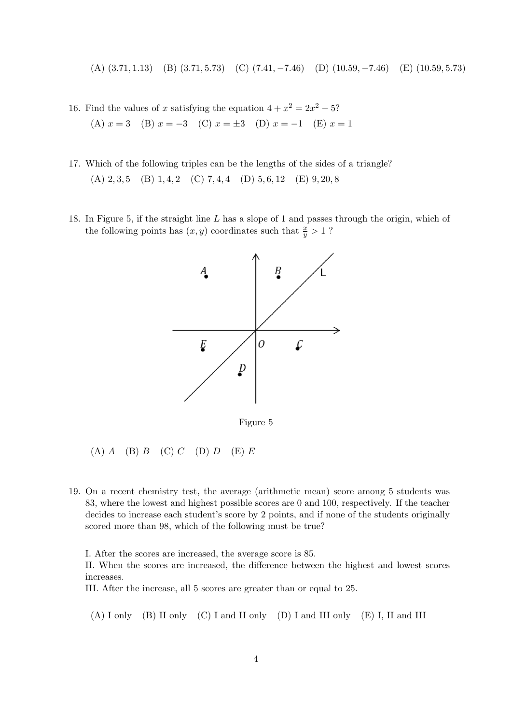(A) (3.71, 1.13) (B) (3.71, 5.73) (C) (7.41, −7.46) (D) (10.59, −7.46) (E) (10.59, 5.73)

- 16. Find the values of x satisfying the equation  $4 + x^2 = 2x^2 5$ ? (A)  $x = 3$  (B)  $x = -3$  (C)  $x = \pm 3$  (D)  $x = -1$  (E)  $x = 1$
- 17. Which of the following triples can be the lengths of the sides of a triangle? (A)  $2, 3, 5$  (B)  $1, 4, 2$  (C)  $7, 4, 4$  (D)  $5, 6, 12$  (E)  $9, 20, 8$
- 18. In Figure 5, if the straight line L has a slope of 1 and passes through the origin, which of the following points has  $(x, y)$  coordinates such that  $\frac{x}{y} > 1$ ?



Figure 5

- (A)  $A$  (B)  $B$  (C)  $C$  (D)  $D$  (E)  $E$
- 19. On a recent chemistry test, the average (arithmetic mean) score among 5 students was 83, where the lowest and highest possible scores are 0 and 100, respectively. If the teacher decides to increase each student's score by 2 points, and if none of the students originally scored more than 98, which of the following must be true?

I. After the scores are increased, the average score is 85.

II. When the scores are increased, the difference between the highest and lowest scores increases.

III. After the increase, all 5 scores are greater than or equal to 25.

(A) I only (B) II only (C) I and II only (D) I and III only (E) I, II and III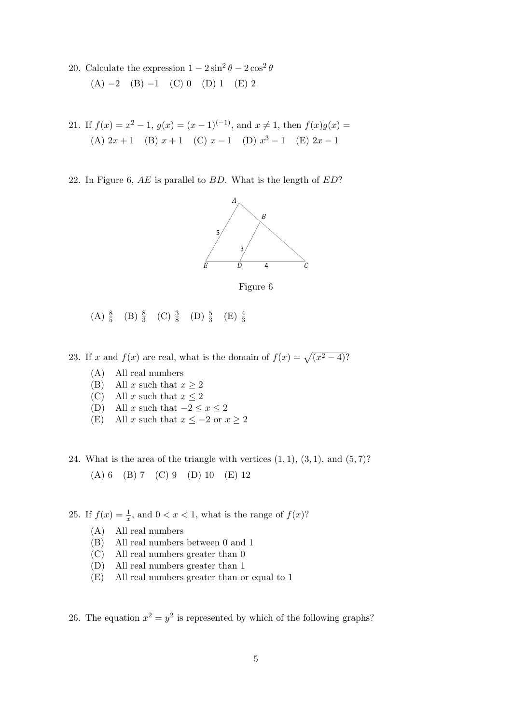20. Calculate the expression  $1 - 2\sin^2\theta - 2\cos^2\theta$  $(A) -2 (B) -1 (C) 0 (D) 1 (E) 2$ 

21. If 
$$
f(x) = x^2 - 1
$$
,  $g(x) = (x - 1)^{(-1)}$ , and  $x \neq 1$ , then  $f(x)g(x) =$   
(A)  $2x + 1$  (B)  $x + 1$  (C)  $x - 1$  (D)  $x^3 - 1$  (E)  $2x - 1$ 

22. In Figure 6,  $AE$  is parallel to  $BD$ . What is the length of  $ED$ ?





- (A)  $\frac{8}{5}$  (B)  $\frac{8}{3}$  (C)  $\frac{3}{8}$  (D)  $\frac{5}{3}$  (E)  $\frac{4}{3}$
- 23. If x and  $f(x)$  are real, what is the domain of  $f(x) = \sqrt{x^2 4}$ ?
	- (A) All real numbers
	- (B) All x such that  $x \geq 2$
	- (C) All x such that  $x \leq 2$
	- (D) All x such that  $-2 \le x \le 2$
	- (E) All x such that  $x \le -2$  or  $x \ge 2$
- 24. What is the area of the triangle with vertices  $(1, 1), (3, 1),$  and  $(5, 7)$ ? (A) 6 (B) 7 (C) 9 (D) 10 (E) 12
- 25. If  $f(x) = \frac{1}{x}$ , and  $0 < x < 1$ , what is the range of  $f(x)$ ?
	- (A) All real numbers
	- (B) All real numbers between 0 and 1
	- (C) All real numbers greater than 0
	- (D) All real numbers greater than 1
	- (E) All real numbers greater than or equal to 1

26. The equation  $x^2 = y^2$  is represented by which of the following graphs?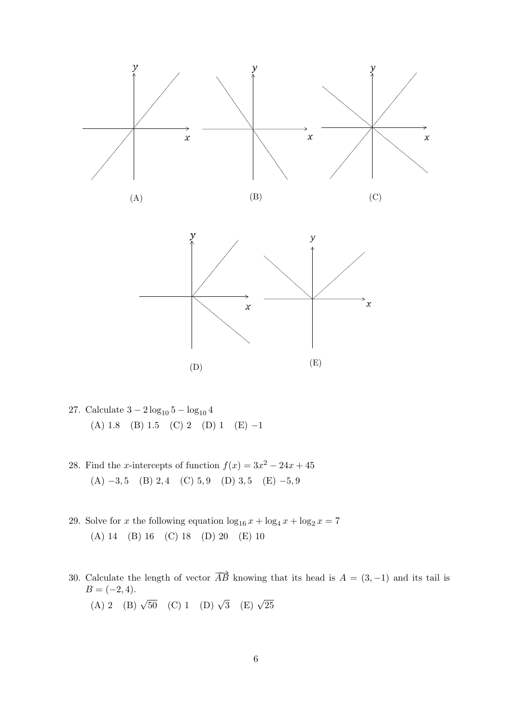

- 27. Calculate  $3 2 \log_{10} 5 \log_{10} 4$ (A) 1.8 (B) 1.5 (C) 2 (D) 1 (E)  $-1$
- 28. Find the x-intercepts of function  $f(x) = 3x^2 24x + 45$ (A)  $-3,5$  (B) 2, 4 (C) 5, 9 (D) 3, 5 (E)  $-5,9$
- 29. Solve for x the following equation  $\log_{16} x + \log_4 x + \log_2 x = 7$ (A) 14 (B) 16 (C) 18 (D) 20 (E) 10
- 30. Calculate the length of vector  $\overrightarrow{AB}$  knowing that its head is  $A = (3, -1)$  and its tail is  $B = (-2, 4).$ (A) 2 (B)  $\sqrt{50}$  (C) 1 (D)  $\sqrt{3}$  (E)  $\sqrt{25}$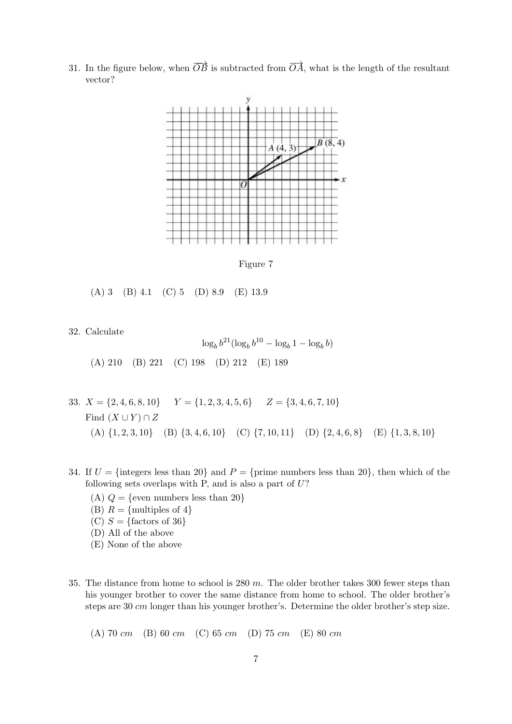31. In the figure below, when  $\overrightarrow{OB}$  is subtracted from  $\overrightarrow{OA}$ , what is the length of the resultant vector?



Figure 7

(A) 3 (B) 4.1 (C) 5 (D) 8.9 (E) 13.9

32. Calculate

$$
\log_b b^{21} (\log_b b^{10} - \log_b 1 - \log_b b)
$$
\n(A) 210 (B) 221 (C) 198 (D) 212 (E) 189

- 33.  $X = \{2, 4, 6, 8, 10\}$   $Y = \{1, 2, 3, 4, 5, 6\}$   $Z = \{3, 4, 6, 7, 10\}$ Find  $(X \cup Y) \cap Z$ (A)  $\{1, 2, 3, 10\}$  (B)  $\{3, 4, 6, 10\}$  (C)  $\{7, 10, 11\}$  (D)  $\{2, 4, 6, 8\}$  (E)  $\{1, 3, 8, 10\}$
- 34. If  $U = \{\text{integers less than } 20\}$  and  $P = \{\text{prime numbers less than } 20\}$ , then which of the following sets overlaps with P, and is also a part of  $U$ ?
	- (A)  $Q = \{$ even numbers less than 20 $\}$
	- (B)  $R = \{\text{multiples of } 4\}$
	- (C)  $S = \{\text{factors of } 36\}$
	- (D) All of the above
	- (E) None of the above
- 35. The distance from home to school is  $280 \, \text{m}$ . The older brother takes 300 fewer steps than his younger brother to cover the same distance from home to school. The older brother's steps are 30 cm longer than his younger brother's. Determine the older brother's step size.

(A) 70 cm (B) 60 cm (C) 65 cm (D) 75 cm (E) 80 cm